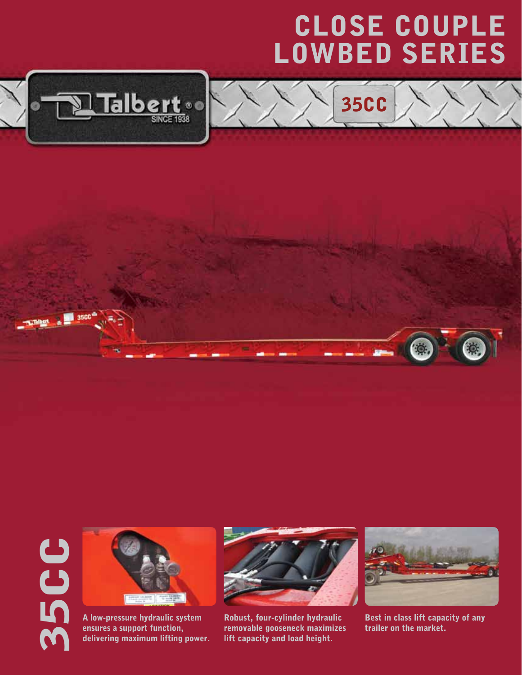## CLOSE COUPLE LOWBED Series

35CC





35CC



A low-pressure hydraulic system ensures a support function, delivering maximum lifting power.



Robust, four-cylinder hydraulic removable gooseneck maximizes lift capacity and load height.



Best in class lift capacity of any trailer on the market.